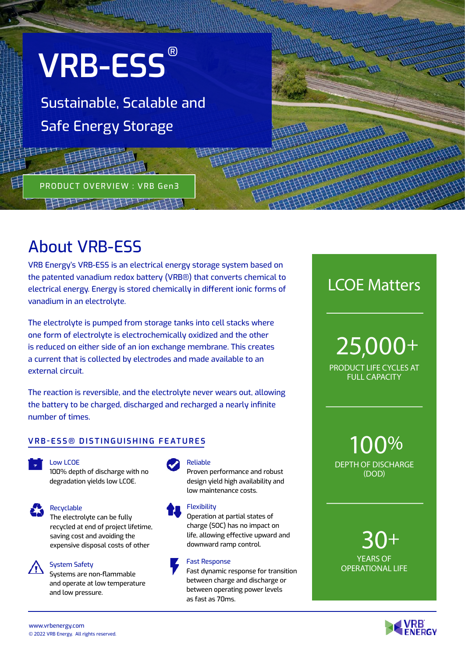

PRODUCT OVERVIEW : VRB Gen3

Sustainable, Scalable and Safe Energy Storage

# About VRB-ESS

VRB Energy's VRB-ESS is an electrical energy storage system based on the patented vanadium redox battery (VRB®) that converts chemical to electrical energy. Energy is stored chemically in different ionic forms of vanadium in an electrolyte.

井井共夫村

The electrolyte is pumped from storage tanks into cell stacks where one form of electrolyte is electrochemically oxidized and the other is reduced on either side of an ion exchange membrane. This creates a current that is collected by electrodes and made available to an external circuit.

The reaction is reversible, and the electrolyte never wears out, allowing the battery to be charged, discharged and recharged a nearly infinite number of times.

# **VRB-ESS® DISTINGUISHING FEATURES**

Low LCOE 100% depth of discharge with no degradation yields low LCOE.



Recyclable

The electrolyte can be fully recycled at end of project lifetime, saving cost and avoiding the expensive disposal costs of other



System Safety Systems are non-flammable and operate at low temperature and low pressure.



#### Reliable

Proven performance and robust design yield high availability and low maintenance costs.

#### **Flexibility**

Operation at partial states of charge (SOC) has no impact on life, allowing effective upward and downward ramp control.

#### Fast Response

Fast dynamic response for transition between charge and discharge or between operating power levels as fast as 70ms.

LCOE Matters

PRODUCT LIFE CYCLES AT FULL CAPACITY 25,000+

DEPTH OF DISCHARGE (DOD) 100%

YEARS OF OPERATIONAL LIFE 30+

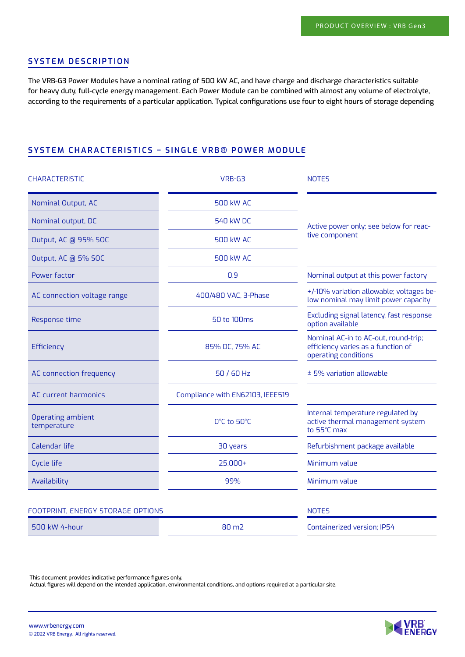# **SYSTEM DESCRIPTION**

The VRB-G3 Power Modules have a nominal rating of 500 kW AC, and have charge and discharge characteristics suitable for heavy duty, full-cycle energy management. Each Power Module can be combined with almost any volume of electrolyte, according to the requirements of a particular application. Typical configurations use four to eight hours of storage depending

# **SYSTEM CHARACTERISTICS – SINGLE VRB® POWER MODULE**

| <b>CHARACTERISTIC</b>             | VRB-G3                           | <b>NOTES</b>                                                                                       |
|-----------------------------------|----------------------------------|----------------------------------------------------------------------------------------------------|
| Nominal Output, AC                | <b>500 kW AC</b>                 | Active power only; see below for reac-<br>tive component                                           |
| Nominal output, DC                | <b>540 kW DC</b>                 |                                                                                                    |
| Output, AC @ 95% SOC              | <b>500 kW AC</b>                 |                                                                                                    |
| Output, AC @ 5% SOC               | <b>500 kW AC</b>                 |                                                                                                    |
| Power factor                      | 0.9                              | Nominal output at this power factory                                                               |
| AC connection voltage range       | 400/480 VAC, 3-Phase             | +/-10% variation allowable; voltages be-<br>low nominal may limit power capacity                   |
| Response time                     | 50 to 100ms                      | Excluding signal latency, fast response<br>option available                                        |
| Efficiency                        | 85% DC, 75% AC                   | Nominal AC-in to AC-out, round-trip;<br>efficiency varies as a function of<br>operating conditions |
| AC connection frequency           | 50 / 60 Hz                       | ± 5% variation allowable                                                                           |
| <b>AC</b> current harmonics       | Compliance with EN62103, IEEE519 |                                                                                                    |
| Operating ambient<br>temperature  | O°C to 50°C                      | Internal temperature regulated by<br>active thermal management system<br>to 55°C max               |
| Calendar life                     | 30 years                         | Refurbishment package available                                                                    |
| <b>Cycle life</b>                 | $25,000+$                        | Minimum value                                                                                      |
| Availability                      | 99%                              | Minimum value                                                                                      |
| FOOTPRINT, ENERGY STORAGE OPTIONS |                                  | <b>NOTES</b>                                                                                       |
| 500 kW 4-hour                     | 80 m <sub>2</sub>                | Containerized version; IP54                                                                        |

This document provides indicative performance figures only.

Actual figures will depend on the intended application, environmental conditions, and options required at a particular site.